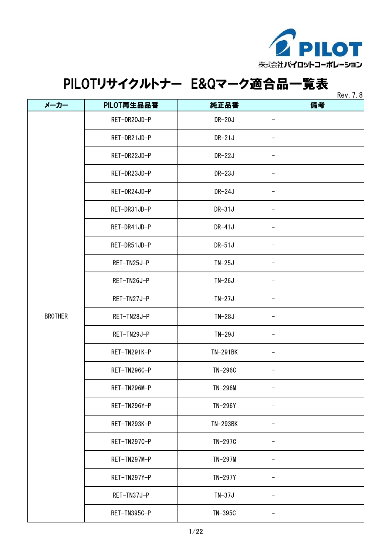

|                |              |           | <b>Rev.</b> 7. 8 |
|----------------|--------------|-----------|------------------|
| メーカー           | PILOT再生品品番   | 純正品番      | 備考               |
|                | RET-DR20JD-P | DR-20J    |                  |
|                | RET-DR21JD-P | $DR-21J$  |                  |
|                | RET-DR22JD-P | DR-22J    |                  |
|                | RET-DR23JD-P | DR-23J    |                  |
|                | RET-DR24JD-P | DR-24J    |                  |
|                | RET-DR31JD-P | $DR-31J$  |                  |
|                | RET-DR41JD-P | DR-41J    |                  |
|                | RET-DR51JD-P | $DR-51J$  |                  |
|                | RET-TN25J-P  | $TN-25J$  |                  |
|                | RET-TN26J-P  | $TN-26J$  |                  |
|                | RET-TN27J-P  | $TN-27J$  |                  |
| <b>BROTHER</b> | RET-TN28J-P  | $TN-28J$  |                  |
|                | RET-TN29J-P  | $TN-29J$  |                  |
|                | RET-TN291K-P | TN-291BK  |                  |
|                | RET-TN296C-P | TN-296C   |                  |
|                | RET-TN296M-P | TN-296M   |                  |
|                | RET-TN296Y-P | TN-296Y   |                  |
|                | RET-TN293K-P | TN-293BK  |                  |
|                | RET-TN297C-P | TN-297C   |                  |
|                | RET-TN297M-P | $TN-297M$ |                  |
|                | RET-TN297Y-P | TN-297Y   |                  |
|                | RET-TN37J-P  | $TN-37J$  |                  |
|                | RET-TN395C-P | TN-395C   |                  |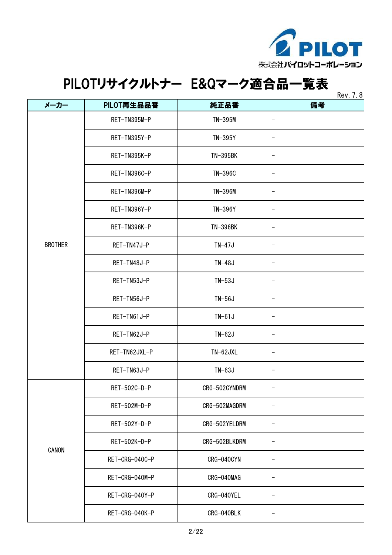

 $R_{\text{max}}$  7.8

|                |                |               | <b>NEV.</b> 1.0 |
|----------------|----------------|---------------|-----------------|
| メーカー           | PILOT再生品品番     | 純正品番          | 備考              |
|                | RET-TN395M-P   | TN-395M       |                 |
|                | RET-TN395Y-P   | TN-395Y       |                 |
|                | RET-TN395K-P   | TN-395BK      |                 |
|                | RET-TN396C-P   | TN-396C       |                 |
|                | RET-TN396M-P   | TN-396M       |                 |
|                | RET-TN396Y-P   | TN-396Y       |                 |
|                | RET-TN396K-P   | TN-396BK      |                 |
| <b>BROTHER</b> | RET-TN47J-P    | $TN-47J$      |                 |
|                | RET-TN48J-P    | $TN-48J$      |                 |
|                | RET-TN53J-P    | $TN-53J$      |                 |
|                | RET-TN56J-P    | $TN-56J$      |                 |
|                | RET-TN61J-P    | $TN-61J$      |                 |
|                | RET-TN62J-P    | $TN-62J$      |                 |
|                | RET-TN62JXL-P  | $TN-62JXL$    |                 |
|                | RET-TN63J-P    | $TN-63J$      |                 |
|                | RET-502C-D-P   | CRG-502CYNDRM |                 |
|                | RET-502M-D-P   | CRG-502MAGDRM |                 |
| CANON          | RET-502Y-D-P   | CRG-502YELDRM |                 |
|                | RET-502K-D-P   | CRG-502BLKDRM |                 |
|                | RET-CRG-040C-P | CRG-040CYN    |                 |
|                | RET-CRG-040M-P | CRG-040MAG    |                 |
|                | RET-CRG-040Y-P | CRG-040YEL    |                 |
|                | RET-CRG-040K-P | CRG-040BLK    |                 |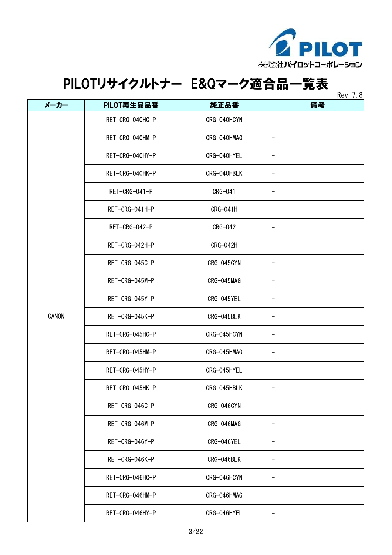

 $R_{\text{ext}}$  7.8

|       |                 |             | <b>Rev.</b> 7. 0 |
|-------|-----------------|-------------|------------------|
| メーカー  | PILOT再生品品番      | 純正品番        | 備考               |
|       | RET-CRG-040HC-P | CRG-040HCYN |                  |
|       | RET-CRG-040HM-P | CRG-040HMAG |                  |
|       | RET-CRG-040HY-P | CRG-040HYEL |                  |
|       | RET-CRG-040HK-P | CRG-040HBLK |                  |
|       | RET-CRG-041-P   | CRG-041     |                  |
|       | RET-CRG-041H-P  | CRG-041H    |                  |
|       | RET-CRG-042-P   | CRG-042     |                  |
|       | RET-CRG-042H-P  | CRG-042H    |                  |
|       | RET-CRG-045C-P  | CRG-045CYN  |                  |
|       | RET-CRG-045M-P  | CRG-045MAG  |                  |
|       | RET-CRG-045Y-P  | CRG-045YEL  |                  |
| CANON | RET-CRG-045K-P  | CRG-045BLK  |                  |
|       | RET-CRG-045HC-P | CRG-045HCYN |                  |
|       | RET-CRG-045HM-P | CRG-045HMAG |                  |
|       | RET-CRG-045HY-P | CRG-045HYEL |                  |
|       | RET-CRG-045HK-P | CRG-045HBLK |                  |
|       | RET-CRG-046C-P  | CRG-046CYN  |                  |
|       | RET-CRG-046M-P  | CRG-046MAG  |                  |
|       | RET-CRG-046Y-P  | CRG-046YEL  |                  |
|       | RET-CRG-046K-P  | CRG-046BLK  |                  |
|       | RET-CRG-046HC-P | CRG-046HCYN |                  |
|       | RET-CRG-046HM-P | CRG-046HMAG |                  |
|       | RET-CRG-046HY-P | CRG-046HYEL |                  |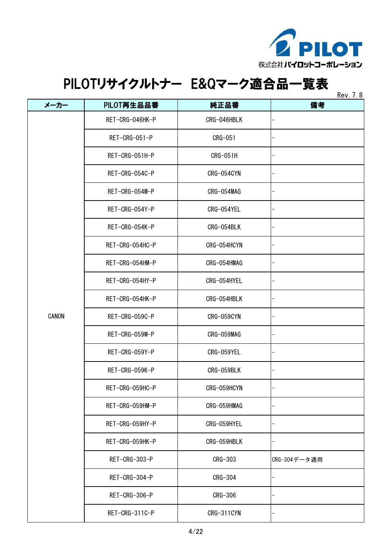

|       |                 |             | Rev. 7.8     |
|-------|-----------------|-------------|--------------|
| メーカー  | PILOT再生品品番      | 純正品番        | 備考           |
|       | RET-CRG-046HK-P | CRG-046HBLK |              |
|       | RET-CRG-051-P   | CRG-051     |              |
|       | RET-CRG-051H-P  | CRG-051H    |              |
|       | RET-CRG-054C-P  | CRG-054CYN  |              |
|       | RET-CRG-054M-P  | CRG-054MAG  |              |
|       | RET-CRG-054Y-P  | CRG-054YEL  |              |
|       | RET-CRG-054K-P  | CRG-054BLK  |              |
|       | RET-CRG-054HC-P | CRG-054HCYN |              |
|       | RET-CRG-054HM-P | CRG-054HMAG |              |
|       | RET-CRG-054HY-P | CRG-054HYEL |              |
|       | RET-CRG-054HK-P | CRG-054HBLK |              |
| CANON | RET-CRG-059C-P  | CRG-059CYN  |              |
|       | RET-CRG-059M-P  | CRG-059MAG  |              |
|       | RET-CRG-059Y-P  | CRG-059YEL  |              |
|       | RET-CRG-059K-P  | CRG-059BLK  |              |
|       | RET-CRG-059HC-P | CRG-059HCYN |              |
|       | RET-CRG-059HM-P | CRG-059HMAG |              |
|       | RET-CRG-059HY-P | CRG-059HYEL |              |
|       | RET-CRG-059HK-P | CRG-059HBLK |              |
|       | RET-CRG-303-P   | CRG-303     | CRG-304データ適用 |
|       | RET-CRG-304-P   | CRG-304     |              |
|       | RET-CRG-306-P   | CRG-306     |              |
|       | RET-CRG-311C-P  | CRG-311CYN  |              |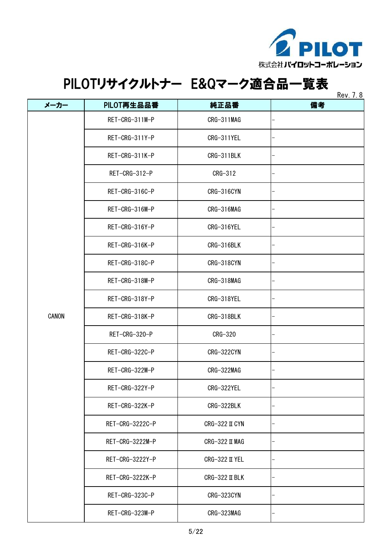

|       |                 |                  | <b>Rev.</b> 7. 8 |
|-------|-----------------|------------------|------------------|
| メーカー  | PILOT再生品品番      | 純正品番             | 備考               |
|       | RET-CRG-311M-P  | CRG-311MAG       |                  |
|       | RET-CRG-311Y-P  | CRG-311YEL       |                  |
|       | RET-CRG-311K-P  | CRG-311BLK       |                  |
|       | RET-CRG-312-P   | CRG-312          |                  |
|       | RET-CRG-316C-P  | CRG-316CYN       |                  |
|       | RET-CRG-316M-P  | CRG-316MAG       |                  |
|       | RET-CRG-316Y-P  | CRG-316YEL       |                  |
|       | RET-CRG-316K-P  | CRG-316BLK       |                  |
|       | RET-CRG-318C-P  | CRG-318CYN       |                  |
|       | RET-CRG-318M-P  | CRG-318MAG       |                  |
|       | RET-CRG-318Y-P  | CRG-318YEL       |                  |
| CANON | RET-CRG-318K-P  | CRG-318BLK       |                  |
|       | RET-CRG-320-P   | CRG-320          |                  |
|       | RET-CRG-322C-P  | CRG-322CYN       |                  |
|       | RET-CRG-322M-P  | CRG-322MAG       |                  |
|       | RET-CRG-322Y-P  | CRG-322YEL       |                  |
|       | RET-CRG-322K-P  | CRG-322BLK       |                  |
|       | RET-CRG-3222C-P | $CRG-322$ II CYN |                  |
|       | RET-CRG-3222M-P | $CRG-322$ II MAG |                  |
|       | RET-CRG-3222Y-P | CRG-322 II YEL   |                  |
|       | RET-CRG-3222K-P | $CRG-322$ II BLK |                  |
|       | RET-CRG-323C-P  | CRG-323CYN       |                  |
|       | RET-CRG-323M-P  | CRG-323MAG       |                  |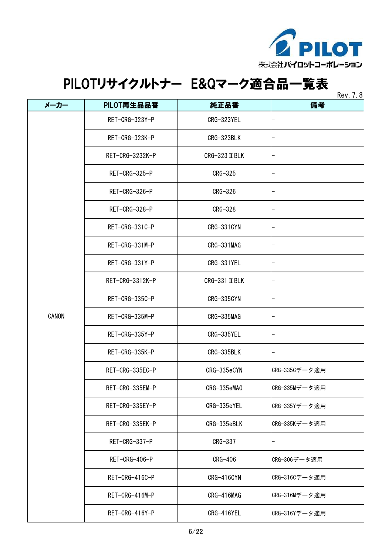

| メーカー  | PILOT再生品品番      | 純正品番             | <b>Rev.</b> 7. 8<br>備考 |
|-------|-----------------|------------------|------------------------|
|       | RET-CRG-323Y-P  | CRG-323YEL       |                        |
|       | RET-CRG-323K-P  | CRG-323BLK       |                        |
|       | RET-CRG-3232K-P | $CRG-323$ II BLK |                        |
|       | RET-CRG-325-P   | CRG-325          |                        |
|       | RET-CRG-326-P   | CRG-326          |                        |
|       | RET-CRG-328-P   | CRG-328          |                        |
|       | RET-CRG-331C-P  | CRG-331CYN       |                        |
|       | RET-CRG-331M-P  | CRG-331MAG       |                        |
|       | RET-CRG-331Y-P  | CRG-331YEL       |                        |
|       | RET-CRG-3312K-P | CRG-331 II BLK   |                        |
|       | RET-CRG-335C-P  | CRG-335CYN       |                        |
| CANON | RET-CRG-335M-P  | CRG-335MAG       |                        |
|       | RET-CRG-335Y-P  | CRG-335YEL       |                        |
|       | RET-CRG-335K-P  | CRG-335BLK       |                        |
|       | RET-CRG-335EC-P | CRG-335eCYN      | CRG-335Cデータ適用          |
|       | RET-CRG-335EM-P | CRG-335eMAG      | CRG-335Mデータ適用          |
|       | RET-CRG-335EY-P | CRG-335eYEL      | CRG-335Yデータ適用          |
|       | RET-CRG-335EK-P | CRG-335eBLK      | CRG-335Kデータ適用          |
|       | RET-CRG-337-P   | CRG-337          |                        |
|       | RET-CRG-406-P   | CRG-406          | CRG-306データ適用           |
|       | RET-CRG-416C-P  | CRG-416CYN       | CRG-316Cデータ適用          |
|       | RET-CRG-416M-P  | CRG-416MAG       | CRG-316Mデータ適用          |
|       | RET-CRG-416Y-P  | CRG-416YEL       | CRG-316Yデータ適用          |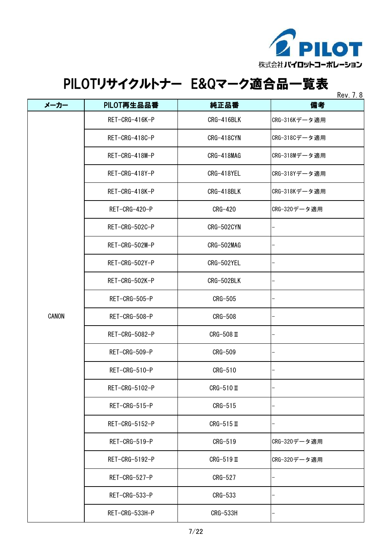

|       |                |                 | Rev. 7.8      |
|-------|----------------|-----------------|---------------|
| メーカー  | PILOT再生品品番     | 純正品番            | 備考            |
|       | RET-CRG-416K-P | CRG-416BLK      | CRG-316Kデータ適用 |
|       | RET-CRG-418C-P | CRG-418CYN      | CRG-318Cデータ適用 |
|       | RET-CRG-418M-P | CRG-418MAG      | CRG-318Mデータ適用 |
|       | RET-CRG-418Y-P | CRG-418YEL      | CRG-318Yデータ適用 |
|       | RET-CRG-418K-P | CRG-418BLK      | CRG-318Kデータ適用 |
|       | RET-CRG-420-P  | CRG-420         | CRG-320データ適用  |
|       | RET-CRG-502C-P | CRG-502CYN      |               |
|       | RET-CRG-502M-P | CRG-502MAG      |               |
|       | RET-CRG-502Y-P | CRG-502YEL      |               |
|       | RET-CRG-502K-P | CRG-502BLK      |               |
|       | RET-CRG-505-P  | <b>CRG-505</b>  |               |
| CANON | RET-CRG-508-P  | <b>CRG-508</b>  |               |
|       | RET-CRG-5082-P | $CRG-508$ II    |               |
|       | RET-CRG-509-P  | CRG-509         |               |
|       | RET-CRG-510-P  | CRG-510         |               |
|       | RET-CRG-5102-P | $CRG-510$ II    |               |
|       | RET-CRG-515-P  | CRG-515         |               |
|       | RET-CRG-5152-P | $CRG-515$ II    |               |
|       | RET-CRG-519-P  | CRG-519         | CRG-320データ適用  |
|       | RET-CRG-5192-P | $CRG-519$ II    | CRG-320データ適用  |
|       | RET-CRG-527-P  | CRG-527         |               |
|       | RET-CRG-533-P  | $CRG-533$       |               |
|       | RET-CRG-533H-P | <b>CRG-533H</b> |               |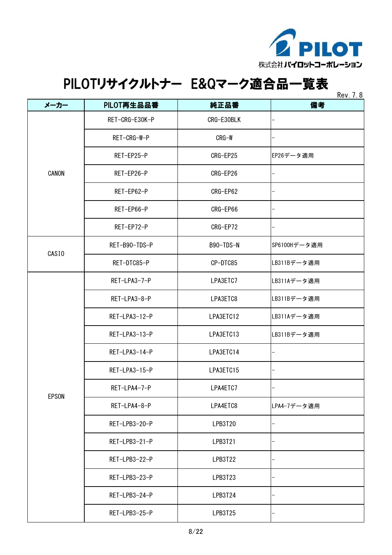

|                   |                |            | <b>NUV.</b> 1.0 |
|-------------------|----------------|------------|-----------------|
| メーカー              | PILOT再生品品番     | 純正品番       | 備考              |
|                   | RET-CRG-E30K-P | CRG-E30BLK |                 |
|                   | RET-CRG-W-P    | CRG-W      |                 |
|                   | RET-EP25-P     | CRG-EP25   | EP26データ適用       |
| CANON             | RET-EP26-P     | CRG-EP26   |                 |
|                   | RET-EP62-P     | CRG-EP62   |                 |
|                   | RET-EP66-P     | CRG-EP66   |                 |
|                   | RET-EP72-P     | CRG-EP72   |                 |
| CASI <sub>0</sub> | RET-B90-TDS-P  | B90-TDS-N  | SP6100Hデータ適用    |
|                   | RET-DTC85-P    | CP-DTC85   | LB311Bデータ適用     |
|                   | RET-LPA3-7-P   | LPA3ETC7   | LB311Aデータ適用     |
|                   | RET-LPA3-8-P   | LPA3ETC8   | LB311Bデータ適用     |
|                   | RET-LPA3-12-P  | LPA3ETC12  | LB311Aデータ適用     |
|                   | RET-LPA3-13-P  | LPA3ETC13  | LB311Bデータ適用     |
|                   | RET-LPA3-14-P  | LPA3ETC14  |                 |
|                   | RET-LPA3-15-P  | LPA3ETC15  |                 |
| <b>EPSON</b>      | RET-LPA4-7-P   | LPA4ETC7   |                 |
|                   | RET-LPA4-8-P   | LPA4ETC8   | LPA4-7データ適用     |
|                   | RET-LPB3-20-P  | LPB3T20    |                 |
|                   | RET-LPB3-21-P  | LPB3T21    |                 |
|                   | RET-LPB3-22-P  | LPB3T22    |                 |
|                   | RET-LPB3-23-P  | LPB3T23    |                 |
|                   | RET-LPB3-24-P  | LPB3T24    |                 |
|                   | RET-LPB3-25-P  | LPB3T25    |                 |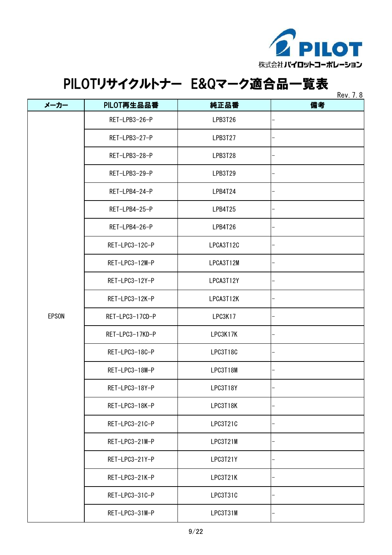

|              |                 |           | <b>RUV. 7.0</b> |
|--------------|-----------------|-----------|-----------------|
| メーカー         | PILOT再生品品番      | 純正品番      | 備考              |
|              | RET-LPB3-26-P   | LPB3T26   |                 |
|              | RET-LPB3-27-P   | LPB3T27   |                 |
|              | RET-LPB3-28-P   | LPB3T28   |                 |
|              | RET-LPB3-29-P   | LPB3T29   |                 |
|              | RET-LPB4-24-P   | LPB4T24   |                 |
|              | RET-LPB4-25-P   | LPB4T25   |                 |
|              | RET-LPB4-26-P   | LPB4T26   |                 |
|              | RET-LPC3-12C-P  | LPCA3T12C |                 |
|              | RET-LPC3-12M-P  | LPCA3T12M |                 |
|              | RET-LPC3-12Y-P  | LPCA3T12Y |                 |
|              | RET-LPC3-12K-P  | LPCA3T12K |                 |
| <b>EPSON</b> | RET-LPC3-17CD-P | LPC3K17   |                 |
|              | RET-LPC3-17KD-P | LPC3K17K  |                 |
|              | RET-LPC3-18C-P  | LPC3T18C  |                 |
|              | RET-LPC3-18M-P  | LPC3T18M  |                 |
|              | RET-LPC3-18Y-P  | LPC3T18Y  |                 |
|              | RET-LPC3-18K-P  | LPC3T18K  |                 |
|              | RET-LPC3-21C-P  | LPC3T21C  |                 |
|              | RET-LPC3-21M-P  | LPC3T21M  |                 |
|              | RET-LPC3-21Y-P  | LPC3T21Y  |                 |
|              | RET-LPC3-21K-P  | LPC3T21K  |                 |
|              | RET-LPC3-31C-P  | LPC3T31C  |                 |
|              | RET-LPC3-31M-P  | LPC3T31M  |                 |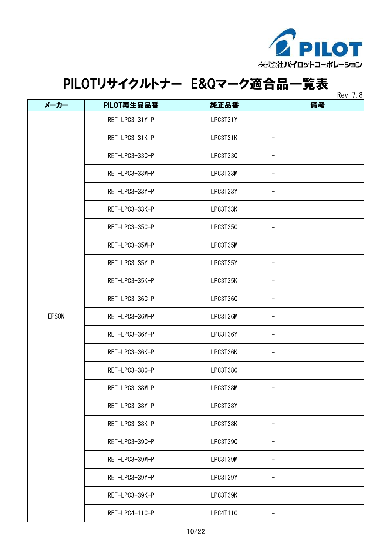

 $R_{\text{max}}$  7.8

|              |                |          | <b>REV.</b> 1.0 |
|--------------|----------------|----------|-----------------|
| メーカー         | PILOT再生品品番     | 純正品番     | 備考              |
|              | RET-LPC3-31Y-P | LPC3T31Y |                 |
|              | RET-LPC3-31K-P | LPC3T31K |                 |
|              | RET-LPC3-33C-P | LPC3T33C |                 |
|              | RET-LPC3-33M-P | LPC3T33M |                 |
|              | RET-LPC3-33Y-P | LPC3T33Y |                 |
|              | RET-LPC3-33K-P | LPC3T33K |                 |
|              | RET-LPC3-35C-P | LPC3T35C |                 |
|              | RET-LPC3-35M-P | LPC3T35M |                 |
|              | RET-LPC3-35Y-P | LPC3T35Y |                 |
|              | RET-LPC3-35K-P | LPC3T35K |                 |
|              | RET-LPC3-36C-P | LPC3T36C |                 |
| <b>EPSON</b> | RET-LPC3-36M-P | LPC3T36M |                 |
|              | RET-LPC3-36Y-P | LPC3T36Y |                 |
|              | RET-LPC3-36K-P | LPC3T36K |                 |
|              | RET-LPC3-38C-P | LPC3T38C |                 |
|              | RET-LPC3-38M-P | LPC3T38M |                 |
|              | RET-LPC3-38Y-P | LPC3T38Y |                 |
|              | RET-LPC3-38K-P | LPC3T38K |                 |
|              | RET-LPC3-39C-P | LPC3T39C |                 |
|              | RET-LPC3-39M-P | LPC3T39M |                 |
|              | RET-LPC3-39Y-P | LPC3T39Y |                 |
|              | RET-LPC3-39K-P | LPC3T39K |                 |
|              | RET-LPC4-11C-P | LPC4T11C |                 |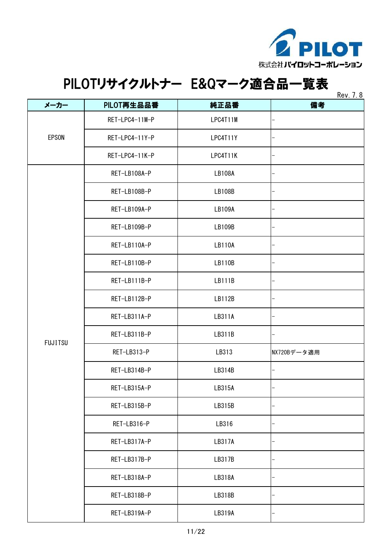

| メーカー           | PILOT再生品品番     | 純正品番          | 1001.10<br>備考 |
|----------------|----------------|---------------|---------------|
|                | RET-LPC4-11M-P | LPC4T11M      |               |
| EPSON          | RET-LPC4-11Y-P | LPC4T11Y      |               |
|                | RET-LPC4-11K-P | LPC4T11K      |               |
|                | RET-LB108A-P   | <b>LB108A</b> |               |
|                | RET-LB108B-P   | <b>LB108B</b> |               |
|                | RET-LB109A-P   | LB109A        |               |
|                | RET-LB109B-P   | LB109B        |               |
|                | RET-LB110A-P   | <b>LB110A</b> |               |
|                | RET-LB110B-P   | <b>LB110B</b> |               |
|                | RET-LB111B-P   | LB111B        |               |
|                | RET-LB112B-P   | LB112B        |               |
|                | RET-LB311A-P   | LB311A        |               |
| <b>FUJITSU</b> | RET-LB311B-P   | LB311B        |               |
|                | RET-LB313-P    | LB313         | NX720Bデータ適用   |
|                | RET-LB314B-P   | LB314B        |               |
|                | RET-LB315A-P   | LB315A        |               |
|                | RET-LB315B-P   | LB315B        |               |
|                | RET-LB316-P    | LB316         |               |
|                | RET-LB317A-P   | LB317A        |               |
|                | RET-LB317B-P   | LB317B        |               |
|                | RET-LB318A-P   | LB318A        |               |
|                | RET-LB318B-P   | LB318B        |               |
|                | RET-LB319A-P   | LB319A        |               |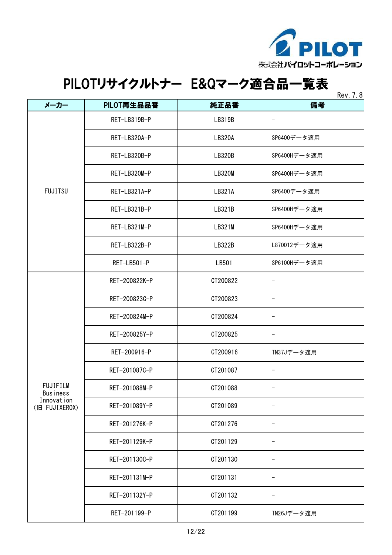

|                             |               |               | Rev. 7.8     |
|-----------------------------|---------------|---------------|--------------|
| メーカー                        | PILOT再生品品番    | 純正品番          | 備考           |
|                             | RET-LB319B-P  | LB319B        |              |
|                             | RET-LB320A-P  | LB320A        | SP6400データ適用  |
|                             | RET-LB320B-P  | <b>LB320B</b> | SP6400Hデータ適用 |
|                             | RET-LB320M-P  | <b>LB320M</b> | SP6400Hデータ適用 |
| <b>FUJITSU</b>              | RET-LB321A-P  | LB321A        | SP6400データ適用  |
|                             | RET-LB321B-P  | LB321B        | SP6400Hデータ適用 |
|                             | RET-LB321M-P  | LB321M        | SP6400Hデータ適用 |
|                             | RET-LB322B-P  | LB322B        | L870012データ適用 |
|                             | RET-LB501-P   | LB501         | SP6100Hデータ適用 |
|                             | RET-200822K-P | CT200822      |              |
|                             | RET-200823C-P | CT200823      |              |
|                             | RET-200824M-P | CT200824      |              |
|                             | RET-200825Y-P | CT200825      |              |
|                             | RET-200916-P  | CT200916      | TN37Jデータ適用   |
|                             | RET-201087C-P | CT201087      |              |
| FUJIFILM<br><b>Business</b> | RET-201088M-P | CT201088      |              |
| Innovation<br>(旧 FUJIXEROX) | RET-201089Y-P | CT201089      |              |
|                             | RET-201276K-P | CT201276      |              |
|                             | RET-201129K-P | CT201129      |              |
|                             | RET-201130C-P | CT201130      |              |
|                             | RET-201131M-P | CT201131      |              |
|                             | RET-201132Y-P | CT201132      |              |
|                             | RET-201199-P  | CT201199      | TN26Jデータ適用   |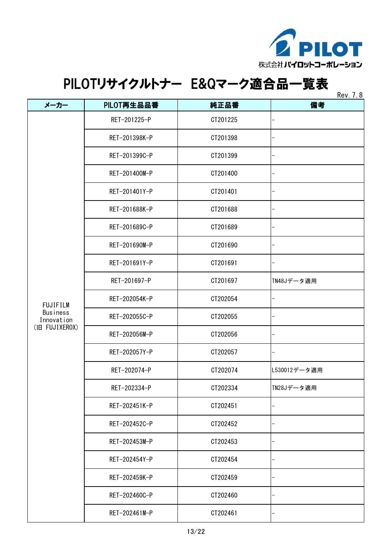

 $R_{\text{max}}$  7.8

|                               |               |          | <b>Rev.</b> 7. 8 |
|-------------------------------|---------------|----------|------------------|
| メーカー                          | PILOT再生品品番    | 純正品番     | 備考               |
|                               | RET-201225-P  | CT201225 |                  |
|                               | RET-201398K-P | CT201398 |                  |
|                               | RET-201399C-P | CT201399 |                  |
|                               | RET-201400M-P | CT201400 |                  |
|                               | RET-201401Y-P | CT201401 |                  |
|                               | RET-201688K-P | CT201688 |                  |
|                               | RET-201689C-P | CT201689 |                  |
|                               | RET-201690M-P | CT201690 |                  |
|                               | RET-201691Y-P | CT201691 |                  |
|                               | RET-201697-P  | CT201697 | TN48Jデータ適用       |
| <b>FUJIFILM</b>               | RET-202054K-P | CT202054 |                  |
| <b>Business</b><br>Innovation | RET-202055C-P | CT202055 |                  |
| (旧 FUJIXEROX)                 | RET-202056M-P | CT202056 |                  |
|                               | RET-202057Y-P | CT202057 |                  |
|                               | RET-202074-P  | CT202074 | L530012データ適用     |
|                               | RET-202334-P  | CT202334 | TN28Jデータ適用       |
|                               | RET-202451K-P | CT202451 |                  |
|                               | RET-202452C-P | CT202452 |                  |
|                               | RET-202453M-P | CT202453 |                  |
|                               | RET-202454Y-P | CT202454 |                  |
|                               | RET-202459K-P | CT202459 |                  |
|                               | RET-202460C-P | CT202460 |                  |
|                               | RET-202461M-P | CT202461 |                  |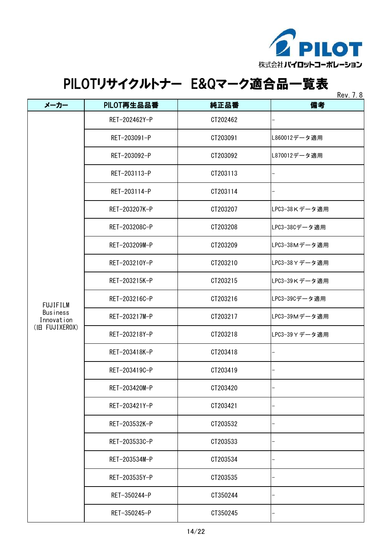

| Rev |  | 8 |
|-----|--|---|
|-----|--|---|

|                        |               |          | <b>NGV.</b> 1.0 |
|------------------------|---------------|----------|-----------------|
| メーカー                   | PILOT再生品品番    | 純正品番     | 備考              |
|                        | RET-202462Y-P | CT202462 |                 |
|                        | RET-203091-P  | CT203091 | L860012データ適用    |
|                        | RET-203092-P  | CT203092 | L870012データ適用    |
|                        | RET-203113-P  | CT203113 |                 |
|                        | RET-203114-P  | CT203114 |                 |
|                        | RET-203207K-P | CT203207 | LPC3-38Kデータ適用   |
|                        | RET-203208C-P | CT203208 | LPC3-38Cデータ適用   |
|                        | RET-203209M-P | CT203209 | LPC3-38Mデータ適用   |
|                        | RET-203210Y-P | CT203210 | LPC3-38 Y データ適用 |
|                        | RET-203215K-P | CT203215 | LPC3-39Kデータ適用   |
| <b>FUJIFILM</b>        | RET-203216C-P | CT203216 | LPC3-39Cデータ適用   |
| Business<br>Innovation | RET-203217M-P | CT203217 | LPC3-39Mデータ適用   |
| (IB FUJIXEROX)         | RET-203218Y-P | CT203218 | LPC3-39 Y データ適用 |
|                        | RET-203418K-P | CT203418 |                 |
|                        | RET-203419C-P | CT203419 |                 |
|                        | RET-203420M-P | CT203420 |                 |
|                        | RET-203421Y-P | CT203421 |                 |
|                        | RET-203532K-P | CT203532 |                 |
|                        | RET-203533C-P | CT203533 |                 |
|                        | RET-203534M-P | CT203534 |                 |
|                        | RET-203535Y-P | CT203535 |                 |
|                        | RET-350244-P  | CT350244 |                 |
|                        | RET-350245-P  | CT350245 |                 |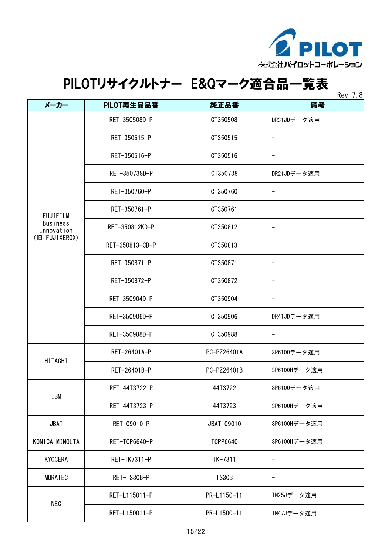

| メーカー                   | PILOT再生品品番      | 純正品番                 | 110V. I. U<br>備考 |
|------------------------|-----------------|----------------------|------------------|
|                        | RET-350508D-P   | CT350508             | DR31JDデータ適用      |
|                        | RET-350515-P    | CT350515             |                  |
|                        | RET-350516-P    | CT350516             |                  |
|                        | RET-350738D-P   | CT350738             | DR21JDデータ適用      |
|                        | RET-350760-P    | CT350760             |                  |
| <b>FUJIFILM</b>        | RET-350761-P    | CT350761             |                  |
| Business<br>Innovation | RET-350812KD-P  | CT350812<br>CT350813 |                  |
| (旧 FUJIXEROX)          | RET-350813-CD-P |                      |                  |
|                        | RET-350871-P    | CT350871             |                  |
|                        | RET-350872-P    | CT350872             |                  |
|                        | RET-350904D-P   | CT350904             |                  |
|                        | RET-350906D-P   | CT350906             | DR41JDデータ適用      |
|                        | RET-350988D-P   | CT350988             |                  |
| HITACHI                | RET-26401A-P    | PC-PZ26401A          | SP6100データ適用      |
|                        | RET-26401B-P    | PC-PZ26401B          | SP6100Hデータ適用     |
| <b>IBM</b>             | RET-44T3722-P   | 44T3722              | SP6100データ適用      |
|                        | RET-44T3723-P   | 44T3723              | SP6100Hデータ適用     |
| <b>JBAT</b>            | RET-09010-P     | JBAT 09010           | SP6100Hデータ適用     |
| KONICA MINOLTA         | RET-TCP6640-P   | <b>TCPP6640</b>      | SP6100Hデータ適用     |
| <b>KYOCERA</b>         | RET-TK7311-P    | $TK-7311$            |                  |
| <b>MURATEC</b>         | RET-TS30B-P     | <b>TS30B</b>         |                  |
|                        | RET-L115011-P   | PR-L1150-11          | TN25Jデータ適用       |
| <b>NEC</b>             | RET-L150011-P   | PR-L1500-11          | TN47Jデータ適用       |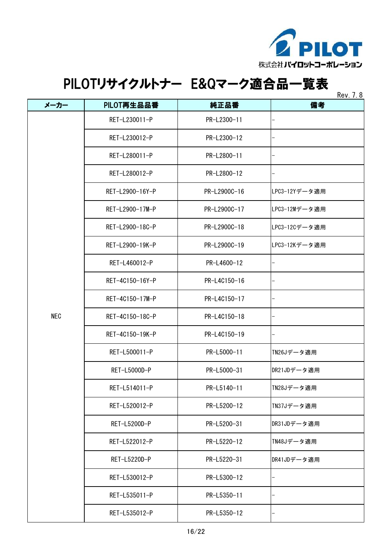

 $P_{ON}$  7.9

| メーカー       | PILOT再生品品番      | 純正品番         | NUV. I. O<br>備考 |
|------------|-----------------|--------------|-----------------|
|            | RET-L230011-P   | PR-L2300-11  |                 |
|            | RET-L230012-P   | PR-L2300-12  |                 |
|            | RET-L280011-P   | PR-L2800-11  |                 |
|            | RET-L280012-P   | PR-L2800-12  |                 |
|            | RET-L2900-16Y-P | PR-L2900C-16 | LPC3-12Yデータ適用   |
|            | RET-L2900-17M-P | PR-L2900C-17 | LPC3-12Mデータ適用   |
|            | RET-L2900-18C-P | PR-L2900C-18 | LPC3-12Cデータ適用   |
|            | RET-L2900-19K-P | PR-L2900C-19 | LPC3-12Kデータ適用   |
|            | RET-L460012-P   | PR-L4600-12  |                 |
|            | RET-4C150-16Y-P | PR-L4C150-16 |                 |
|            | RET-4C150-17M-P | PR-L4C150-17 |                 |
| <b>NEC</b> | RET-4C150-18C-P | PR-L4C150-18 |                 |
|            | RET-4C150-19K-P | PR-L4C150-19 |                 |
|            | RET-L500011-P   | PR-L5000-11  | TN26Jデータ適用      |
|            | RET-L5000D-P    | PR-L5000-31  | DR21JDデータ適用     |
|            | RET-L514011-P   | PR-L5140-11  | TN28Jデータ適用      |
|            | RET-L520012-P   | PR-L5200-12  | TN37Jデータ適用      |
|            | RET-L5200D-P    | PR-L5200-31  | DR31JDデータ適用     |
|            | RET-L522012-P   | PR-L5220-12  | TN48Jデータ適用      |
|            | RET-L5220D-P    | PR-L5220-31  | DR41JDデータ適用     |
|            | RET-L530012-P   | PR-L5300-12  |                 |
|            | RET-L535011-P   | PR-L5350-11  |                 |
|            | RET-L535012-P   | PR-L5350-12  |                 |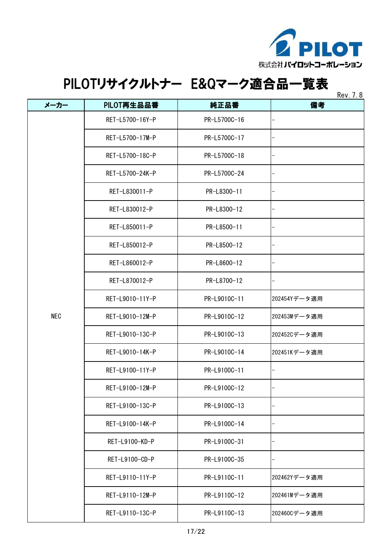

| メーカー       | PILOT再生品品番      | 純正品番         | <b>REV.</b> 7.0<br>備考 |
|------------|-----------------|--------------|-----------------------|
|            | RET-L5700-16Y-P | PR-L5700C-16 |                       |
|            | RET-L5700-17M-P | PR-L5700C-17 |                       |
|            | RET-L5700-18C-P | PR-L5700C-18 |                       |
|            | RET-L5700-24K-P | PR-L5700C-24 |                       |
|            | RET-L830011-P   | PR-L8300-11  |                       |
|            | RET-L830012-P   | PR-L8300-12  |                       |
|            | RET-L850011-P   | PR-L8500-11  |                       |
|            | RET-L850012-P   | PR-L8500-12  |                       |
|            | RET-L860012-P   | PR-L8600-12  |                       |
|            | RET-L870012-P   | PR-L8700-12  |                       |
|            | RET-L9010-11Y-P | PR-L9010C-11 | 202454Yデータ適用          |
| <b>NEC</b> | RET-L9010-12M-P | PR-L9010C-12 | 202453Mデータ適用          |
|            | RET-L9010-13C-P | PR-L9010C-13 | 202452Cデータ適用          |
|            | RET-L9010-14K-P | PR-L9010C-14 | 202451Kデータ適用          |
|            | RET-L9100-11Y-P | PR-L9100C-11 |                       |
|            | RET-L9100-12M-P | PR-L9100C-12 |                       |
|            | RET-L9100-13C-P | PR-L9100C-13 |                       |
|            | RET-L9100-14K-P | PR-L9100C-14 |                       |
|            | RET-L9100-KD-P  | PR-L9100C-31 |                       |
|            | RET-L9100-CD-P  | PR-L9100C-35 |                       |
|            | RET-L9110-11Y-P | PR-L9110C-11 | 202462Yデータ適用          |
|            | RET-L9110-12M-P | PR-L9110C-12 | 202461Mデータ適用          |
|            | RET-L9110-13C-P | PR-L9110C-13 | 202460Cデータ適用          |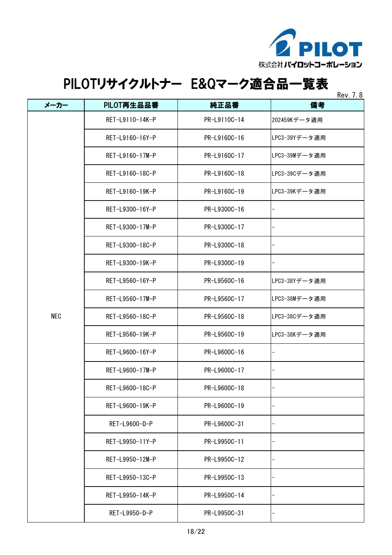

| Kev |  |
|-----|--|
|-----|--|

|            |                 |              | <b>REV. 7.0</b> |
|------------|-----------------|--------------|-----------------|
| メーカー       | PILOT再生品品番      | 純正品番         | 備考              |
|            | RET-L9110-14K-P | PR-L9110C-14 | 202459Kデータ適用    |
|            | RET-L9160-16Y-P | PR-L9160C-16 | LPC3-39Yデータ適用   |
|            | RET-L9160-17M-P | PR-L9160C-17 | LPC3-39Mデータ適用   |
|            | RET-L9160-18C-P | PR-L9160C-18 | LPC3-39Cデータ適用   |
|            | RET-L9160-19K-P | PR-L9160C-19 | LPC3-39Kデータ適用   |
|            | RET-L9300-16Y-P | PR-L9300C-16 |                 |
|            | RET-L9300-17M-P | PR-L9300C-17 |                 |
|            | RET-L9300-18C-P | PR-L9300C-18 |                 |
|            | RET-L9300-19K-P | PR-L9300C-19 |                 |
|            | RET-L9560-16Y-P | PR-L9560C-16 | LPC3-38Yデータ適用   |
|            | RET-L9560-17M-P | PR-L9560C-17 | LPC3-38Mデータ適用   |
| <b>NEC</b> | RET-L9560-18C-P | PR-L9560C-18 | LPC3-38Cデータ適用   |
|            | RET-L9560-19K-P | PR-L9560C-19 | LPC3-38Kデータ適用   |
|            | RET-L9600-16Y-P | PR-L9600C-16 |                 |
|            | RET-L9600-17M-P | PR-L9600C-17 |                 |
|            | RET-L9600-18C-P | PR-L9600C-18 |                 |
|            | RET-L9600-19K-P | PR-L9600C-19 |                 |
|            | RET-L9600-D-P   | PR-L9600C-31 |                 |
|            | RET-L9950-11Y-P | PR-L9950C-11 |                 |
|            | RET-L9950-12M-P | PR-L9950C-12 |                 |
|            | RET-L9950-13C-P | PR-L9950C-13 |                 |
|            | RET-L9950-14K-P | PR-L9950C-14 |                 |
|            | RET-L9950-D-P   | PR-L9950C-31 |                 |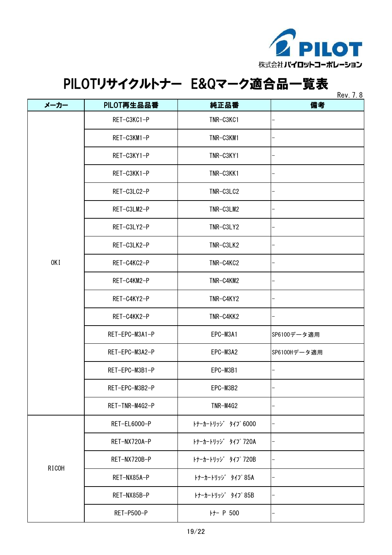

| メーカー  | PILOT再生品品番     | 純正品番               | <b>Rev.</b> 7. 8<br>備考   |
|-------|----------------|--------------------|--------------------------|
|       | RET-C3KC1-P    | TNR-C3KC1          |                          |
| 0KI   |                |                    |                          |
|       | RET-C3KM1-P    | TNR-C3KM1          |                          |
|       | RET-C3KY1-P    | TNR-C3KY1          |                          |
|       | RET-C3KK1-P    | TNR-C3KK1          |                          |
|       | RET-C3LC2-P    | TNR-C3LC2          |                          |
|       | RET-C3LM2-P    | TNR-C3LM2          |                          |
|       | RET-C3LY2-P    | TNR-C3LY2          |                          |
|       | RET-C3LK2-P    | TNR-C3LK2          |                          |
|       | RET-C4KC2-P    | TNR-C4KC2          | —                        |
|       | RET-C4KM2-P    | TNR-C4KM2          |                          |
|       | RET-C4KY2-P    | TNR-C4KY2          |                          |
|       | RET-C4KK2-P    | TNR-C4KK2          |                          |
|       | RET-EPC-M3A1-P | EPC-M3A1           | SP6100データ適用              |
|       | RET-EPC-M3A2-P | EPC-M3A2           | SP6100Hデータ適用             |
|       | RET-EPC-M3B1-P | EPC-M3B1           |                          |
|       | RET-EPC-M3B2-P | EPC-M3B2           |                          |
|       | RET-TNR-M4G2-P | TNR-M4G2           |                          |
|       | RET-EL6000-P   | トナーカートリッジ タイプ 6000 | $\overline{\phantom{0}}$ |
|       | RET-NX720A-P   | トナーカートリッジ タイプ 720A | $\qquad \qquad -$        |
|       | RET-NX720B-P   | トナーカートリッジ タイプ 720B |                          |
| RICOH | RET-NX85A-P    | トナーカートリッジ タイプ 85A  | $\overline{\phantom{0}}$ |
|       | RET-NX85B-P    | トナーカートリッジ タイプ 85B  | $\qquad \qquad -$        |
|       | RET-P500-P     | H- P 500           |                          |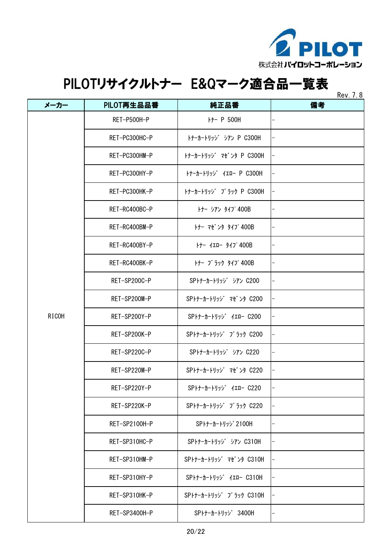

| メーカー  | PILOT再生品品番    | 純正品番                          | NUV. I. O<br>備考 |
|-------|---------------|-------------------------------|-----------------|
|       | RET-P500H-P   | <b>H- P 500H</b>              |                 |
|       | RET-PC300HC-P | トナーカートリッジ シアン P C300H         |                 |
|       | RET-PC300HM-P | トナーカートリッジ マゼ ンタ P C300H       |                 |
|       | RET-PC300HY-P | トナーカートリッジ イエロー P C300H        |                 |
|       | RET-PC300HK-P | トナーカートリッジ ブ ラック P C300H       |                 |
|       | RET-RC400BC-P | トナー シアン タイフ <sup>o</sup> 400B |                 |
|       | RET-RC400BM-P | トナー マセ゛ンタ タイフ゜400B            |                 |
|       | RET-RC400BY-P | トナー イエロー タイプ 400B             |                 |
|       | RET-RC400BK-P | トナー ブ ラック タイプ 400B            |                 |
|       | RET-SP200C-P  | SPトナーカートリッジ シアン C200          |                 |
|       | RET-SP200M-P  | SPトナーカートリッジ マゼ ンタ C200        |                 |
| RICOH | RET-SP200Y-P  | SPトナーカートリッジ イエロー C200         |                 |
|       | RET-SP200K-P  | SPトナーカートリッジ ブ ラック C200        |                 |
|       | RET-SP220C-P  | SPトナーカートリッジ シアン C220          |                 |
|       | RET-SP220M-P  | SPトナーカートリッジ マゼ ンタ C220        |                 |
|       | RET-SP220Y-P  | SPトナーカートリッジ イエロー C220         |                 |
|       | RET-SP220K-P  | SPトナーカートリッジ ブ ラック C220        |                 |
|       | RET-SP2100H-P | SPトナーカートリッジ 2100H             |                 |
|       | RET-SP310HC-P | SPトナーカートリッジ シアン C310H         |                 |
|       | RET-SP310HM-P | SPトナーカートリッジ マゼ ンタ C310H       |                 |
|       | RET-SP310HY-P | SPトナーカートリッジ イエロー C310H        |                 |
|       | RET-SP310HK-P | SPトナーカートリッジ ブ ラック C310H       |                 |
|       | RET-SP3400H-P | SPトナーカートリッジ 3400H             |                 |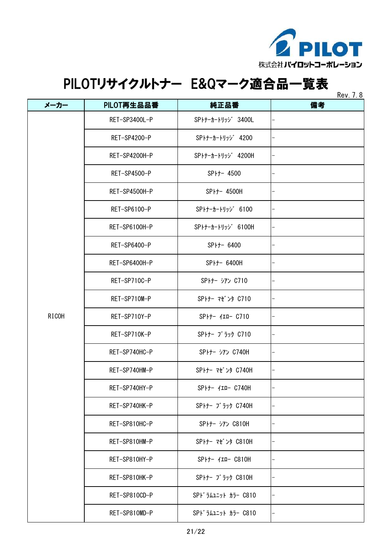

|                      | PILOT再生品品番    | 純正品番                     | NUV. I. O<br>備考 |
|----------------------|---------------|--------------------------|-----------------|
|                      |               |                          |                 |
|                      | RET-SP3400L-P | SPトナーカートリッジ 3400L        |                 |
| メーカー<br><b>RICOH</b> | RET-SP4200-P  | SPトナーカートリッジ 4200         |                 |
|                      | RET-SP4200H-P | SPトナーカートリッジ 4200H        |                 |
|                      | RET-SP4500-P  | SP <sub>++</sub> - 4500  |                 |
|                      | RET-SP4500H-P | SPトナー 4500H              |                 |
|                      | RET-SP6100-P  | SPトナーカートリッジ 6100         |                 |
|                      | RET-SP6100H-P | SPトナーカートリッジ 6100H        |                 |
|                      | RET-SP6400-P  | SP <sub>++</sub> - 6400  |                 |
|                      | RET-SP6400H-P | SP <sub>++</sub> - 6400H |                 |
|                      | RET-SP710C-P  | SPトナー シアン C710           |                 |
|                      | RET-SP710M-P  | SPトナー マゼ ンタ C710         |                 |
|                      | RET-SP710Y-P  | SPトナー イエロー C710          |                 |
|                      | RET-SP710K-P  | SPトナー ブ ラック C710         |                 |
|                      | RET-SP740HC-P | SPトナー シアン C740H          |                 |
|                      | RET-SP740HM-P | SPトナー マゼ ンタ C740H        |                 |
|                      | RET-SP740HY-P | SPトナー イエロー C740H         |                 |
|                      | RET-SP740HK-P | SPトナー ブ ラック C740H        |                 |
|                      | RET-SP810HC-P | SPトナー シアン C810H          |                 |
|                      | RET-SP810HM-P | SPトナー マゼ ンタ C810H        | -               |
|                      | RET-SP810HY-P | SPトナー イエロー C810H         |                 |
|                      | RET-SP810HK-P | SPトナー ブ ラック C810H        |                 |
|                      | RET-SP810CD-P | SPドラムユニット カラー C810       |                 |
|                      | RET-SP810MD-P | SPドラムユニット カラー C810       |                 |